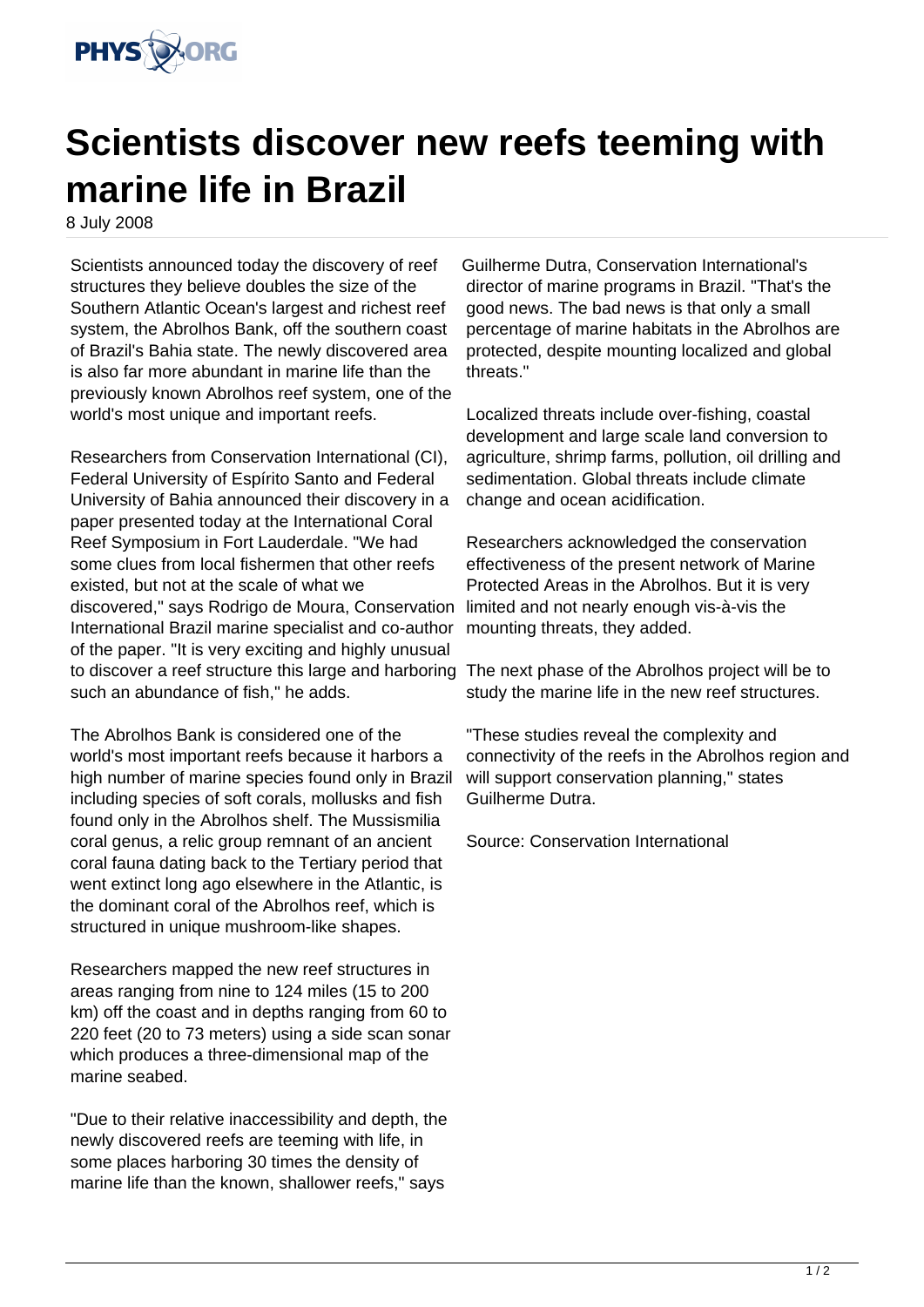

## **Scientists discover new reefs teeming with marine life in Brazil**

8 July 2008

Scientists announced today the discovery of reef structures they believe doubles the size of the Southern Atlantic Ocean's largest and richest reef system, the Abrolhos Bank, off the southern coast of Brazil's Bahia state. The newly discovered area is also far more abundant in marine life than the previously known Abrolhos reef system, one of the world's most unique and important reefs.

Researchers from Conservation International (CI), Federal University of Espírito Santo and Federal University of Bahia announced their discovery in a paper presented today at the International Coral Reef Symposium in Fort Lauderdale. "We had some clues from local fishermen that other reefs existed, but not at the scale of what we discovered," says Rodrigo de Moura, Conservation International Brazil marine specialist and co-author of the paper. "It is very exciting and highly unusual to discover a reef structure this large and harboring The next phase of the Abrolhos project will be to such an abundance of fish," he adds.

The Abrolhos Bank is considered one of the world's most important reefs because it harbors a high number of marine species found only in Brazil including species of soft corals, mollusks and fish found only in the Abrolhos shelf. The Mussismilia coral genus, a relic group remnant of an ancient coral fauna dating back to the Tertiary period that went extinct long ago elsewhere in the Atlantic, is the dominant coral of the Abrolhos reef, which is structured in unique mushroom-like shapes.

Researchers mapped the new reef structures in areas ranging from nine to 124 miles (15 to 200 km) off the coast and in depths ranging from 60 to 220 feet (20 to 73 meters) using a side scan sonar which produces a three-dimensional map of the marine seabed.

"Due to their relative inaccessibility and depth, the newly discovered reefs are teeming with life, in some places harboring 30 times the density of marine life than the known, shallower reefs," says

Guilherme Dutra, Conservation International's director of marine programs in Brazil. "That's the good news. The bad news is that only a small percentage of marine habitats in the Abrolhos are protected, despite mounting localized and global threats."

Localized threats include over-fishing, coastal development and large scale land conversion to agriculture, shrimp farms, pollution, oil drilling and sedimentation. Global threats include climate change and ocean acidification.

Researchers acknowledged the conservation effectiveness of the present network of Marine Protected Areas in the Abrolhos. But it is very limited and not nearly enough vis-à-vis the mounting threats, they added.

study the marine life in the new reef structures.

"These studies reveal the complexity and connectivity of the reefs in the Abrolhos region and will support conservation planning," states Guilherme Dutra.

Source: Conservation International